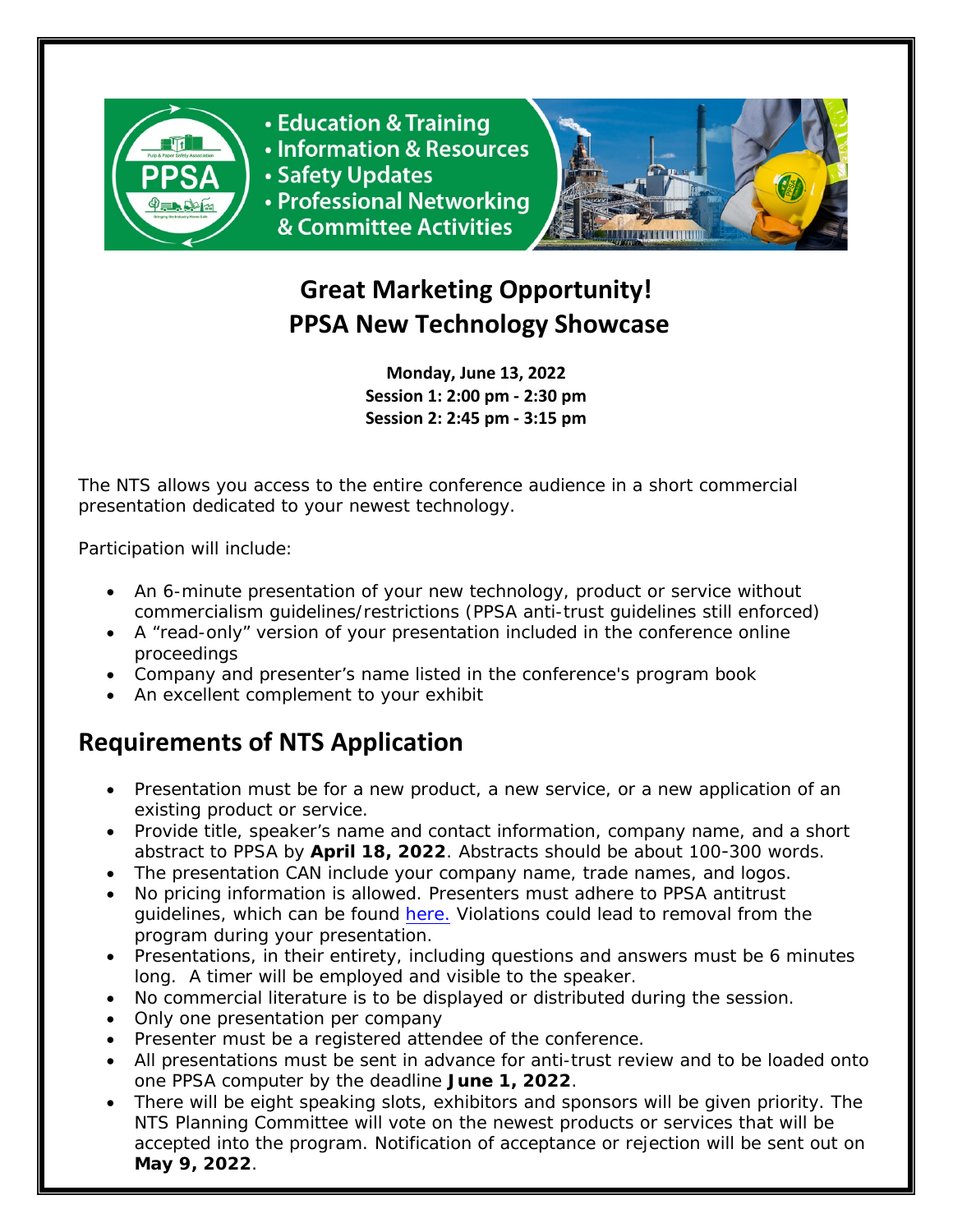

**• Education & Training** • Information & Resources

- 
- Safety Updates

• Professional Networking & Committee Activities



# **Great Marketing Opportunity! PPSA New Technology Showcase**

**Monday, June 13, 2022 Session 1: 2:00 pm - 2:30 pm Session 2: 2:45 pm - 3:15 pm**

The NTS allows you access to the entire conference audience in a short commercial presentation dedicated to your newest technology.

Participation will include:

- An 6-minute presentation of your new technology, product or service without commercialism guidelines/restrictions (PPSA anti-trust guidelines still enforced)
- A "read-only" version of your presentation included in the conference online proceedings
- Company and presenter's name listed in the conference's program book
- An excellent complement to your exhibit

# **Requirements of NTS Application**

- Presentation must be for a new product, a new service, or a new application of an existing product or service.
- Provide title, speaker's name and contact information, company name, and a short abstract to PPSA by **April 18, 2022**. Abstracts should be about 100-300 words.
- The presentation CAN include your company name, trade names, and logos.
- No pricing information is allowed. Presenters must adhere to PPSA antitrust guidelines, which can be found [here.](http://www.ppsa.org/antitrust-policy) Violations could lead to removal from the program during your presentation.
- Presentations, in their entirety, including questions and answers must be 6 minutes long. A timer will be employed and visible to the speaker.
- No commercial literature is to be displayed or distributed during the session.
- Only one presentation per company
- Presenter must be a registered attendee of the conference.
- All presentations must be sent in advance for anti-trust review and to be loaded onto one PPSA computer by the deadline **June 1, 2022**.
- There will be eight speaking slots, exhibitors and sponsors will be given priority. The NTS Planning Committee will vote on the newest products or services that will be accepted into the program. Notification of acceptance or rejection will be sent out on **May 9, 2022***.*